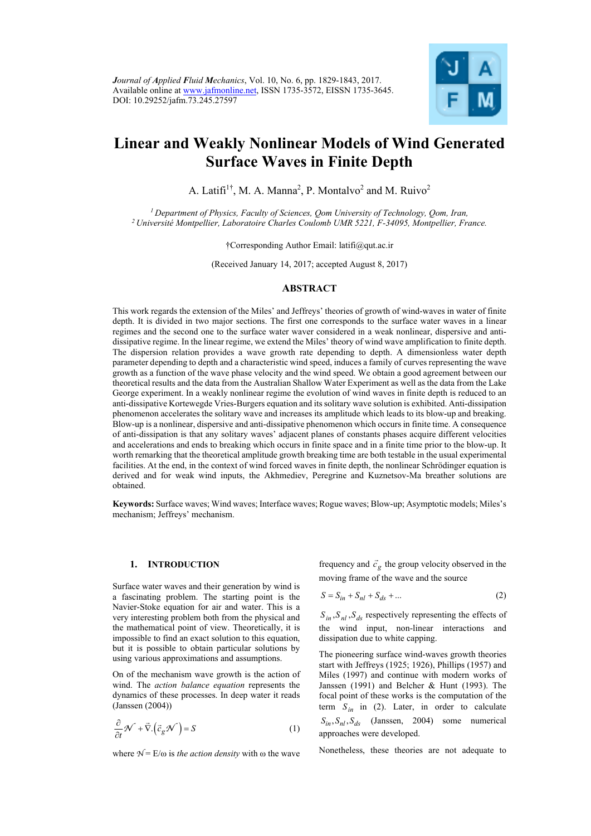

# **Linear and Weakly Nonlinear Models of Wind Generated Surface Waves in Finite Depth**

A. Latifi<sup>1†</sup>, M. A. Manna<sup>2</sup>, P. Montalvo<sup>2</sup> and M. Ruivo<sup>2</sup>

*1 Department of Physics, Faculty of Sciences, Qom University of Technology, Qom, Iran, 2 Université Montpellier, Laboratoire Charles Coulomb UMR 5221, F-34095, Montpellier, France.* 

†Corresponding Author Email: latifi@qut.ac.ir

(Received January 14, 2017; accepted August 8, 2017)

# **ABSTRACT**

This work regards the extension of the Miles' and Jeffreys' theories of growth of wind-waves in water of finite depth. It is divided in two major sections. The first one corresponds to the surface water waves in a linear regimes and the second one to the surface water waver considered in a weak nonlinear, dispersive and antidissipative regime. In the linear regime, we extend the Miles' theory of wind wave amplification to finite depth. The dispersion relation provides a wave growth rate depending to depth. A dimensionless water depth parameter depending to depth and a characteristic wind speed, induces a family of curves representing the wave growth as a function of the wave phase velocity and the wind speed. We obtain a good agreement between our theoretical results and the data from the Australian Shallow Water Experiment as well as the data from the Lake George experiment. In a weakly nonlinear regime the evolution of wind waves in finite depth is reduced to an anti-dissipative Kortewegde Vries-Burgers equation and its solitary wave solution is exhibited. Anti-dissipation phenomenon accelerates the solitary wave and increases its amplitude which leads to its blow-up and breaking. Blow-up is a nonlinear, dispersive and anti-dissipative phenomenon which occurs in finite time. A consequence of anti-dissipation is that any solitary waves' adjacent planes of constants phases acquire different velocities and accelerations and ends to breaking which occurs in finite space and in a finite time prior to the blow-up. It worth remarking that the theoretical amplitude growth breaking time are both testable in the usual experimental facilities. At the end, in the context of wind forced waves in finite depth, the nonlinear Schrödinger equation is derived and for weak wind inputs, the Akhmediev, Peregrine and Kuznetsov-Ma breather solutions are obtained.

**Keywords:** Surface waves; Wind waves; Interface waves; Rogue waves; Blow-up; Asymptotic models; Miles's mechanism; Jeffreys' mechanism.

### **1. INTRODUCTION**

Surface water waves and their generation by wind is a fascinating problem. The starting point is the Navier-Stoke equation for air and water. This is a very interesting problem both from the physical and the mathematical point of view. Theoretically, it is impossible to find an exact solution to this equation, but it is possible to obtain particular solutions by using various approximations and assumptions.

On of the mechanism wave growth is the action of wind. The *action balance equation* represents the dynamics of these processes. In deep water it reads (Janssen (2004))

$$
\frac{\partial}{\partial t} \mathcal{N} + \vec{\nabla} \cdot (\vec{c}_g \mathcal{N}) = S \tag{1}
$$

where  $N = E/\omega$  is *the action density* with  $\omega$  the wave

frequency and  $\vec{c}_g$  the group velocity observed in the moving frame of the wave and the source

$$
S = S_{in} + S_{nl} + S_{ds} + \dots
$$
 (2)

 $S_{in}$ ,  $S_{nl}$ ,  $S_{ds}$  respectively representing the effects of the wind input, non-linear interactions and dissipation due to white capping.

The pioneering surface wind-waves growth theories start with Jeffreys (1925; 1926), Phillips (1957) and Miles (1997) and continue with modern works of Janssen (1991) and Belcher & Hunt (1993). The focal point of these works is the computation of the term  $S_{in}$  in (2). Later, in order to calculate  $S_{in}$ ,  $S_{nl}$ ,  $S_{ds}$  (Janssen, 2004) some numerical approaches were developed.

Nonetheless, these theories are not adequate to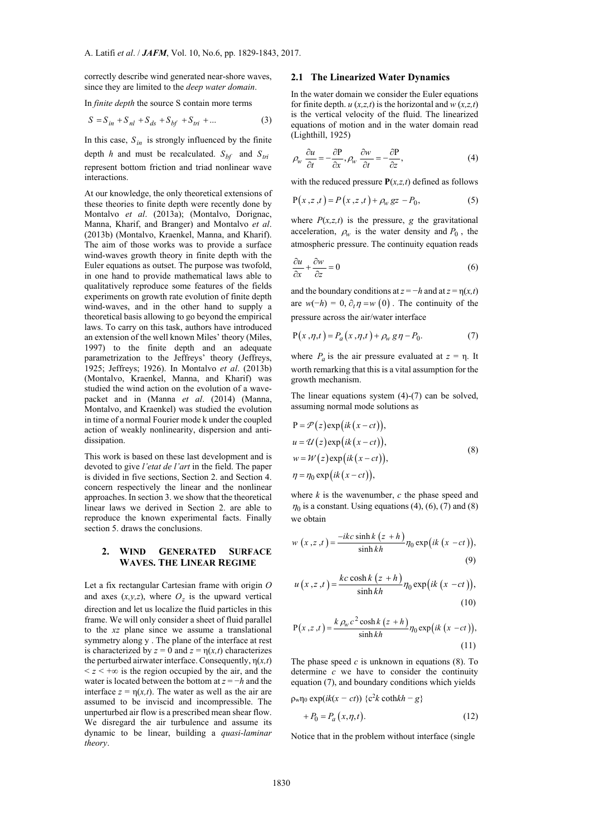correctly describe wind generated near-shore waves, since they are limited to the *deep water domain*.

In *finite depth* the source S contain more terms

$$
S = S_{in} + S_{nl} + S_{ds} + S_{bf} + S_{tri} + ... \tag{3}
$$

In this case,  $S_{in}$  is strongly influenced by the finite

depth *h* and must be recalculated.  $S_{bf}$  and  $S_{tri}$ represent bottom friction and triad nonlinear wave interactions.

At our knowledge, the only theoretical extensions of these theories to finite depth were recently done by Montalvo *et al*. (2013a); (Montalvo, Dorignac, Manna, Kharif, and Branger) and Montalvo *et al*. (2013b) (Montalvo, Kraenkel, Manna, and Kharif). The aim of those works was to provide a surface wind-waves growth theory in finite depth with the Euler equations as outset. The purpose was twofold, in one hand to provide mathematical laws able to qualitatively reproduce some features of the fields experiments on growth rate evolution of finite depth wind-waves, and in the other hand to supply a theoretical basis allowing to go beyond the empirical laws. To carry on this task, authors have introduced an extension of the well known Miles' theory (Miles, 1997) to the finite depth and an adequate parametrization to the Jeffreys' theory (Jeffreys, 1925; Jeffreys; 1926). In Montalvo *et al*. (2013b) (Montalvo, Kraenkel, Manna, and Kharif) was studied the wind action on the evolution of a wavepacket and in (Manna *et al*. (2014) (Manna, Montalvo, and Kraenkel) was studied the evolution in time of a normal Fourier mode k under the coupled action of weakly nonlinearity, dispersion and antidissipation.

This work is based on these last development and is devoted to give *l'etat de l'art* in the field. The paper is divided in five sections, Section 2. and Section 4. concern respectively the linear and the nonlinear approaches. In section 3. we show that the theoretical linear laws we derived in Section 2. are able to reproduce the known experimental facts. Finally section 5. draws the conclusions.

## **2. WIND GENERATED SURFACE WAVES. THE LINEAR REGIME**

Let a fix rectangular Cartesian frame with origin *O* and axes  $(x, y, z)$ , where  $O<sub>z</sub>$  is the upward vertical direction and let us localize the fluid particles in this frame. We will only consider a sheet of fluid parallel to the *xz* plane since we assume a translational symmetry along y . The plane of the interface at rest is characterized by  $z = 0$  and  $z = \eta(x, t)$  characterizes the perturbed airwater interface. Consequently, η(*x,t*)  $\leq z \leq +\infty$  is the region occupied by the air, and the water is located between the bottom at *z* = −*h* and the interface  $z = \eta(x,t)$ . The water as well as the air are assumed to be inviscid and incompressible. The unperturbed air flow is a prescribed mean shear flow. We disregard the air turbulence and assume its dynamic to be linear, building a *quasi-laminar theory*.

#### **2.1 The Linearized Water Dynamics**

In the water domain we consider the Euler equations for finite depth.  $u(x,z,t)$  is the horizontal and  $w(x,z,t)$ is the vertical velocity of the fluid. The linearized equations of motion and in the water domain read (Lighthill, 1925)

$$
\rho_w \frac{\partial u}{\partial t} = -\frac{\partial P}{\partial x}, \rho_w \frac{\partial w}{\partial t} = -\frac{\partial P}{\partial z},\tag{4}
$$

with the reduced pressure **P**(*x,z,t*) defined as follows

$$
P(x, z, t) = P(x, z, t) + \rho_w gz - P_0,
$$
 (5)

where  $P(x,z,t)$  is the pressure, *g* the gravitational acceleration,  $\rho_w$  is the water density and  $P_0$ , the atmospheric pressure. The continuity equation reads

$$
\frac{\partial u}{\partial x} + \frac{\partial w}{\partial z} = 0\tag{6}
$$

and the boundary conditions at  $z = -h$  and at  $z = \eta(x, t)$ are  $w(-h) = 0$ ,  $\partial_t \eta = w(0)$ . The continuity of the pressure across the air/water interface

$$
P(x, \eta, t) = P_a(x, \eta, t) + \rho_w g \eta - P_0.
$$
 (7)

where  $P_a$  is the air pressure evaluated at  $z = \eta$ . It worth remarking that this is a vital assumption for the growth mechanism.

The linear equations system (4)-(7) can be solved, assuming normal mode solutions as

$$
P = \mathcal{P}(z) \exp(ik(x - ct)),
$$
  
\n
$$
u = \mathcal{U}(z) \exp(ik(x - ct)),
$$
  
\n
$$
w = \mathcal{W}(z) \exp(ik(x - ct)),
$$
  
\n
$$
\eta = \eta_0 \exp(ik(x - ct)),
$$
\n(8)

where  $k$  is the wavenumber,  $c$  the phase speed and  $\eta_0$  is a constant. Using equations (4), (6), (7) and (8) we obtain

$$
w(x, z, t) = \frac{-ikc \sinh k (z + h)}{\sinh kh} \eta_0 \exp\left(ik (x - ct)\right),\tag{9}
$$

$$
u(x, z, t) = \frac{kc \cosh k (z + h)}{\sinh kh} \eta_0 \exp\left(ik (x - ct)\right),\tag{10}
$$

$$
P(x, z, t) = \frac{k \rho_w c^2 \cosh k (z + h)}{\sinh kh} \eta_0 \exp\left(ik (x - ct)\right),\tag{11}
$$

The phase speed  $c$  is unknown in equations  $(8)$ . To determine *c* we have to consider the continuity equation (7), and boundary conditions which yields

 $p_w \eta_0 \exp(ik(x - ct)) \{c^2k \coth kh - g\}$ 

$$
+P_0 = P_a(x, \eta, t). \tag{12}
$$

Notice that in the problem without interface (single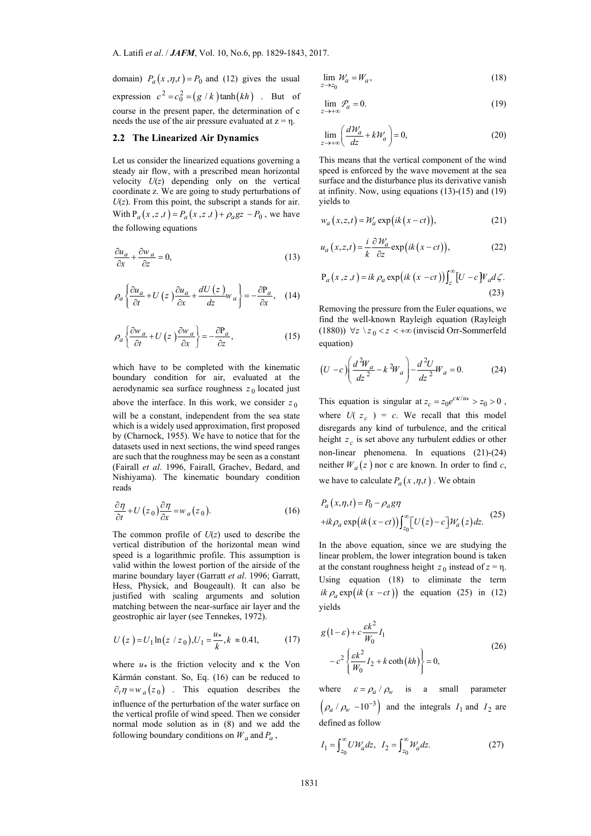domain)  $P_a(x, \eta, t) = P_0$  and (12) gives the usual expression  $c^2 = c_0^2 = (g / k) \tanh(kh)$ . But of course in the present paper, the determination of c needs the use of the air pressure evaluated at  $z = \eta$ .

#### **2.2 The Linearized Air Dynamics**

Let us consider the linearized equations governing a steady air flow, with a prescribed mean horizontal velocity  $U(z)$  depending only on the vertical coordinate z. We are going to study perturbations of  $U(z)$ . From this point, the subscript a stands for air. With  $P_a(x, z, t) = P_a(x, z, t) + \rho_a g z - P_0$ , we have the following equations

$$
\frac{\partial u_a}{\partial x} + \frac{\partial w_a}{\partial z} = 0,\tag{13}
$$

$$
\rho_a \left\{ \frac{\partial u_a}{\partial t} + U \left( z \right) \frac{\partial u_a}{\partial x} + \frac{dU \left( z \right)}{dz} w_a \right\} = -\frac{\partial P_a}{\partial x}, \quad (14)
$$

$$
\rho_a \left\{ \frac{\partial w_a}{\partial t} + U \left( z \right) \frac{\partial w_a}{\partial x} \right\} = -\frac{\partial P_a}{\partial z},\tag{15}
$$

which have to be completed with the kinematic boundary condition for air, evaluated at the aerodynamic sea surface roughness  $z_0$  located just above the interface. In this work, we consider  $z_0$ will be a constant, independent from the sea state which is a widely used approximation, first proposed by (Charnock, 1955). We have to notice that for the datasets used in next sections, the wind speed ranges are such that the roughness may be seen as a constant (Fairall *et al*. 1996, Fairall, Grachev, Bedard, and Nishiyama). The kinematic boundary condition reads

$$
\frac{\partial \eta}{\partial t} + U(z_0) \frac{\partial \eta}{\partial x} = w_a(z_0).
$$
 (16)

The common profile of  $U(z)$  used to describe the vertical distribution of the horizontal mean wind speed is a logarithmic profile. This assumption is valid within the lowest portion of the airside of the marine boundary layer (Garratt *et al*. 1996; Garratt, Hess, Physick, and Bougeault). It can also be justified with scaling arguments and solution matching between the near-surface air layer and the geostrophic air layer (see Tennekes, 1972).

$$
U(z) = U_1 \ln(z / z_0), U_1 = \frac{u_*}{k}, k \approx 0.41,
$$
 (17)

where  $u_*$  is the friction velocity and  $\kappa$  the Von Kármán constant. So, Eq. (16) can be reduced to  $\partial_t \eta = w_a(z_0)$  . This equation describes the influence of the perturbation of the water surface on the vertical profile of wind speed. Then we consider normal mode solution as in (8) and we add the following boundary conditions on  $W_a$  and  $P_a$ ,

$$
\lim_{z \to z_0} \mathcal{W}_a = W_a,\tag{18}
$$

$$
\lim_{z \to +\infty} \mathcal{P}_a = 0. \tag{19}
$$

$$
\lim_{z \to +\infty} \left( \frac{d\mathcal{W}_a}{dz} + k \mathcal{W}_a \right) = 0,\tag{20}
$$

This means that the vertical component of the wind speed is enforced by the wave movement at the sea surface and the disturbance plus its derivative vanish at infinity. Now, using equations (13)-(15) and (19) yields to

$$
w_a(x, z, t) = \mathcal{W}_a \exp\big(ik(x - ct)\big),\tag{21}
$$

$$
u_a(x, z, t) = \frac{i}{k} \frac{\partial \mathcal{W}_a}{\partial z} \exp\big(ik(x - ct)\big),\tag{22}
$$

$$
P_a(x, z, t) = ik \rho_a \exp\left(ik (x - ct)\right) \int_z^{\infty} [U - c] W_a d\zeta.
$$
\n(23)

Removing the pressure from the Euler equations, we find the well-known Rayleigh equation (Rayleigh (1880))  $\forall z \ \zeta_0 \langle z \rangle \langle z \rangle$  (inviscid Orr-Sommerfeld equation)

$$
(U - c) \left( \frac{d^2 W_a}{dz^2} - k^2 W_a \right) - \frac{d^2 U}{dz^2} W_a = 0.
$$
 (24)

This equation is singular at  $z_c = z_0 e^{c\kappa/u*} > z_0 > 0$ , where  $U(z_c) = c$ . We recall that this model disregards any kind of turbulence, and the critical height  $z_c$  is set above any turbulent eddies or other non-linear phenomena. In equations (21)-(24) neither  $W_a(z)$  nor c are known. In order to find c, we have to calculate  $P_a(x, \eta, t)$ . We obtain

$$
P_a(x, \eta, t) = P_0 - \rho_a g \eta
$$
  
+ik $\rho_a \exp\left(ik(x-ct)\right) \int_{z_0}^{\infty} [U(z) - c] \mathcal{W}_a(z) dz.$  (25)

In the above equation, since we are studying the linear problem, the lower integration bound is taken at the constant roughness height  $z_0$  instead of  $z = \eta$ . Using equation (18) to eliminate the term *ik*  $\rho_a$  exp(*ik*  $(x - ct)$ ) the equation (25) in (12) yields

$$
g(1 - \varepsilon) + c \frac{\varepsilon k^2}{W_0} I_1
$$
  

$$
-c^2 \left\{ \frac{\varepsilon k^2}{W_0} I_2 + k \coth(kh) \right\} = 0,
$$
 (26)

where  $\varepsilon = \rho_a / \rho_w$  is a small parameter  $(\rho_a / \rho_w \sim 10^{-3})$  and the integrals  $I_1$  and  $I_2$  are defined as follow

$$
I_1 = \int_{z_0}^{\infty} U \mathcal{W}_a dz, \quad I_2 = \int_{z_0}^{\infty} \mathcal{W}_a dz.
$$
 (27)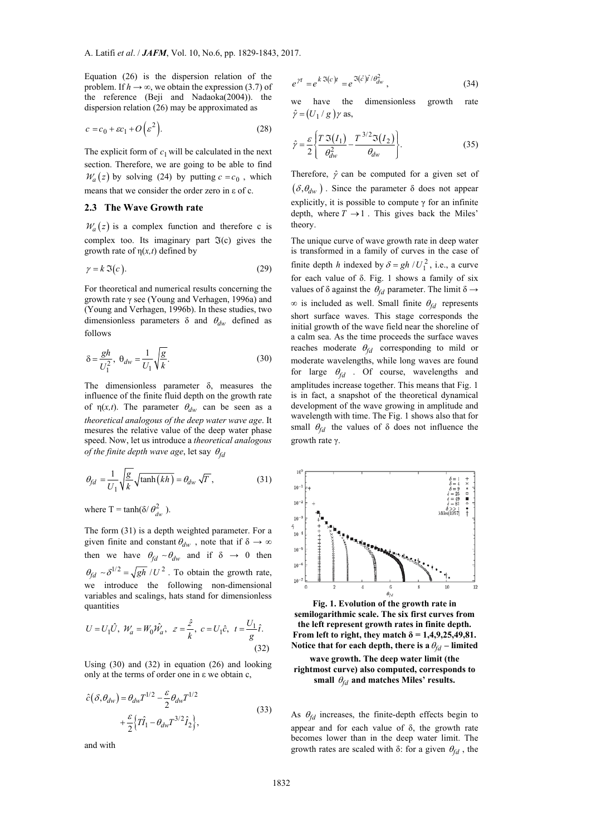Equation (26) is the dispersion relation of the problem. If  $h \to \infty$ , we obtain the expression (3.7) of the reference (Beji and Nadaoka(2004)). the dispersion relation (26) may be approximated as

$$
c = c_0 + \varepsilon c_1 + O\left(\varepsilon^2\right). \tag{28}
$$

The explicit form of  $c_1$  will be calculated in the next section. Therefore, we are going to be able to find  $W_a(z)$  by solving (24) by putting  $c = c_0$ , which means that we consider the order zero in ε of c.

## **2.3 The Wave Growth rate**

 $W_a(z)$  is a complex function and therefore c is complex too. Its imaginary part  $\Im(c)$  gives the growth rate of  $\eta(x,t)$  defined by

$$
\gamma = k \, \mathfrak{I}(c). \tag{29}
$$

For theoretical and numerical results concerning the growth rate γ see (Young and Verhagen, 1996a) and (Young and Verhagen, 1996b). In these studies, two dimensionless parameters  $\delta$  and  $\theta_{dw}$  defined as follows

$$
\delta = \frac{gh}{U_1^2}, \ \theta_{dw} = \frac{1}{U_1} \sqrt{\frac{g}{k}}.
$$
 (30)

The dimensionless parameter δ, measures the influence of the finite fluid depth on the growth rate of  $\eta(x,t)$ . The parameter  $\theta_{dw}$  can be seen as a *theoretical analogous of the deep water wave age*. It mesures the relative value of the deep water phase speed. Now, let us introduce a *theoretical analogous of the finite depth wave age*, let say  $\theta_{fd}$ 

$$
\theta_{fd} = \frac{1}{U_1} \sqrt{\frac{g}{k}} \sqrt{\tanh(kh)} = \theta_{dw} \sqrt{T},
$$
\n(31)

where T = tanh( $\delta / \theta_{dw}^2$ ).

The form (31) is a depth weighted parameter. For a given finite and constant  $\theta_{dw}$ , note that if  $\delta \to \infty$ then we have  $\theta_{fd} \sim \theta_{dw}$  and if  $\delta \rightarrow 0$  then  $\theta_{fd} \sim \delta^{1/2} = \sqrt{gh}/U^2$ . To obtain the growth rate, we introduce the following non-dimensional variables and scalings, hats stand for dimensionless quantities

$$
U = U_1 \hat{U}, \ \mathcal{W}_a = W_0 \hat{\mathcal{W}}_a, \ \ z = \frac{\hat{z}}{k}, \ c = U_1 \hat{c}, \ \ t = \frac{U_1}{g} \hat{t}.
$$
\n(32)

Using (30) and (32) in equation (26) and looking only at the terms of order one in ε we obtain c,

$$
\hat{c}(\delta, \theta_{dw}) = \theta_{dw} T^{1/2} - \frac{\varepsilon}{2} \theta_{dw} T^{1/2}
$$
  
 
$$
+ \frac{\varepsilon}{2} \Big\{ T \hat{I}_1 - \theta_{dw} T^{3/2} \hat{I}_2 \Big\},
$$
 (33)

and with

$$
e^{\gamma t} = e^{k \Im(c)t} = e^{\Im(\hat{c})\hat{t}/\theta_{dw}^2}, \qquad (34)
$$

we have the dimensionless growth rate  $\hat{\gamma} = (U_1 / g) \gamma$  as,

$$
\hat{\gamma} = \frac{\varepsilon}{2} \left\{ \frac{T \mathfrak{I}(I_1)}{\theta_{dw}^2} - \frac{T^{3/2} \mathfrak{I}(I_2)}{\theta_{dw}} \right\}.
$$
\n(35)

Therefore,  $\hat{\gamma}$  can be computed for a given set of  $(\delta, \theta_{dw})$ . Since the parameter  $\delta$  does not appear explicitly, it is possible to compute  $\gamma$  for an infinite depth, where  $T \rightarrow 1$ . This gives back the Miles<sup>'</sup> theory.

The unique curve of wave growth rate in deep water is transformed in a family of curves in the case of finite depth *h* indexed by  $\delta = gh / U_1^2$ , i.e., a curve for each value of δ. Fig. 1 shows a family of six values of  $\delta$  against the  $\theta_{fd}$  parameter. The limit  $\delta \rightarrow$  $\infty$  is included as well. Small finite  $\theta_{fd}$  represents short surface waves. This stage corresponds the initial growth of the wave field near the shoreline of a calm sea. As the time proceeds the surface waves reaches moderate  $\theta_{fd}$  corresponding to mild or moderate wavelengths, while long waves are found for large  $\theta_{fd}$  . Of course, wavelengths and amplitudes increase together. This means that Fig. 1 is in fact, a snapshot of the theoretical dynamical development of the wave growing in amplitude and wavelength with time. The Fig. 1 shows also that for small  $\theta_{fd}$  the values of  $\delta$  does not influence the growth rate γ.



**Fig. 1. Evolution of the growth rate in semilogarithmic scale. The six first curves from the left represent growth rates in finite depth. From left to right, they match**  $\delta$  **= 1,4,9,25,49,81.** Notice that for each depth, there is a  $\theta_{fd}$  – limited

## **wave growth. The deep water limit (the rightmost curve) also computed, corresponds to**  small  $\theta_{fd}$  and matches Miles' results.

As  $\theta_{fd}$  increases, the finite-depth effects begin to appear and for each value of δ, the growth rate becomes lower than in the deep water limit. The growth rates are scaled with  $\delta$ : for a given  $\theta_{fd}$ , the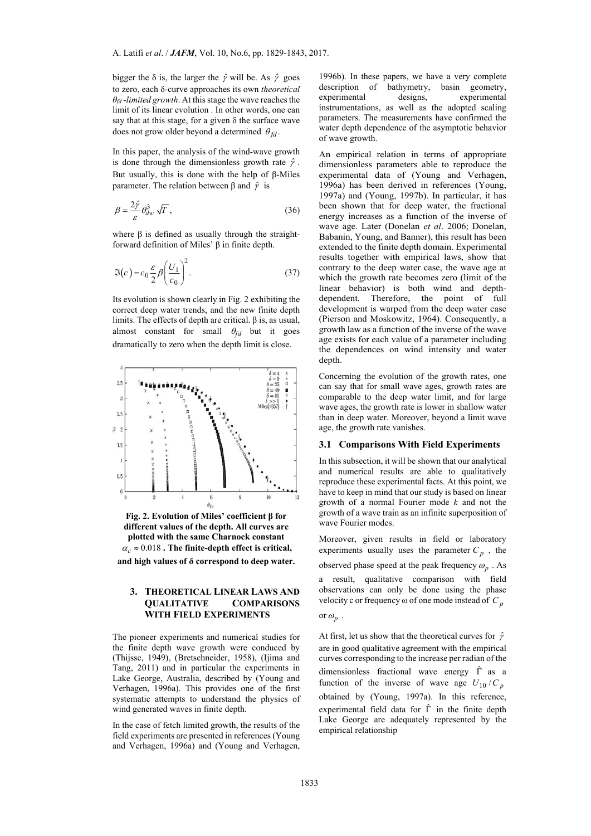bigger the  $\delta$  is, the larger the  $\hat{\gamma}$  will be. As  $\hat{\gamma}$  goes to zero, each δ-curve approaches its own *theoretical θfd -limited growth*. At this stage the wave reaches the limit of its linear evolution . In other words, one can say that at this stage, for a given  $\delta$  the surface wave does not grow older beyond a determined  $\theta_{fd}$ .

In this paper, the analysis of the wind-wave growth is done through the dimensionless growth rate  $\hat{\gamma}$ . But usually, this is done with the help of β-Miles parameter. The relation between β and  $\hat{\gamma}$  is

$$
\beta = \frac{2\hat{\gamma}}{\varepsilon} \theta_{dw}^3 \sqrt{T},\tag{36}
$$

where  $\beta$  is defined as usually through the straightforward definition of Miles' β in finite depth.

$$
\Im(c) = c_0 \frac{\varepsilon}{2} \beta \left( \frac{U_1}{c_0} \right)^2.
$$
 (37)

Its evolution is shown clearly in Fig. 2 exhibiting the correct deep water trends, and the new finite depth limits. The effects of depth are critical. β is, as usual, almost constant for small  $\theta_{fd}$  but it goes dramatically to zero when the depth limit is close.



**Fig. 2. Evolution of Miles' coefficient β for different values of the depth. All curves are plotted with the same Charnock constant**  $\alpha_c \approx 0.018$ . The finite-depth effect is critical, **and high values of δ correspond to deep water.** 

# **3. THEORETICAL LINEAR LAWS AND QUALITATIVE COMPARISONS WITH FIELD EXPERIMENTS**

The pioneer experiments and numerical studies for the finite depth wave growth were conduced by (Thijsse, 1949), (Bretschneider, 1958), (Ijima and Tang, 2011) and in particular the experiments in Lake George, Australia, described by (Young and Verhagen, 1996a). This provides one of the first systematic attempts to understand the physics of wind generated waves in finite depth.

In the case of fetch limited growth, the results of the field experiments are presented in references (Young and Verhagen, 1996a) and (Young and Verhagen, 1996b). In these papers, we have a very complete description of bathymetry, basin geometry, experimental designs, experimental instrumentations, as well as the adopted scaling parameters. The measurements have confirmed the water depth dependence of the asymptotic behavior of wave growth.

An empirical relation in terms of appropriate dimensionless parameters able to reproduce the experimental data of (Young and Verhagen, 1996a) has been derived in references (Young, 1997a) and (Young, 1997b). In particular, it has been shown that for deep water, the fractional energy increases as a function of the inverse of wave age. Later (Donelan *et al*. 2006; Donelan, Babanin, Young, and Banner), this result has been extended to the finite depth domain. Experimental results together with empirical laws, show that contrary to the deep water case, the wave age at which the growth rate becomes zero (limit of the linear behavior) is both wind and depthdependent. Therefore, the point of full development is warped from the deep water case (Pierson and Moskowitz, 1964). Consequently, a growth law as a function of the inverse of the wave age exists for each value of a parameter including the dependences on wind intensity and water depth.

Concerning the evolution of the growth rates, one can say that for small wave ages, growth rates are comparable to the deep water limit, and for large wave ages, the growth rate is lower in shallow water than in deep water. Moreover, beyond a limit wave age, the growth rate vanishes.

## **3.1 Comparisons With Field Experiments**

In this subsection, it will be shown that our analytical and numerical results are able to qualitatively reproduce these experimental facts. At this point, we have to keep in mind that our study is based on linear growth of a normal Fourier mode *k* and not the growth of a wave train as an infinite superposition of wave Fourier modes.

Moreover, given results in field or laboratory experiments usually uses the parameter  $C_p$ , the observed phase speed at the peak frequency  $\omega_n$ . As a result, qualitative comparison with field observations can only be done using the phase velocity c or frequency ω of one mode instead of *C <sup>p</sup>*

or 
$$
\omega_p
$$
.

At first, let us show that the theoretical curves for  $\hat{\gamma}$ are in good qualitative agreement with the empirical curves corresponding to the increase per radian of the dimensionless fractional wave energy  $\hat{\Gamma}$  as a function of the inverse of wave age  $U_{10}/C_p$ obtained by (Young, 1997a). In this reference, experimental field data for  $\hat{\Gamma}$  in the finite depth Lake George are adequately represented by the empirical relationship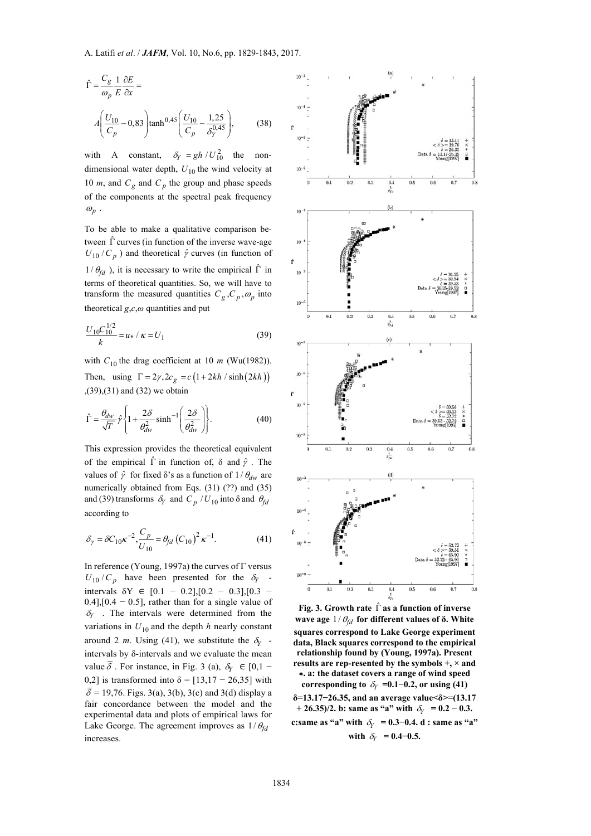A. Latifi *et al*. / *JAFM*, Vol. 10, No.6, pp. 1829-1843, 2017.

$$
\hat{\Gamma} = \frac{C_g}{\omega_p} \frac{1}{E} \frac{\partial E}{\partial x} =
$$
\n
$$
A \left( \frac{U_{10}}{C_p} - 0.83 \right) \tanh^{0.45} \left( \frac{U_{10}}{C_p} - \frac{1.25}{\delta_Y^{0.45}} \right),
$$
\n(38)

with A constant,  $\delta_Y = gh / U_{10}^2$  the nondimensional water depth,  $U_{10}$  the wind velocity at 10  $m$ , and  $C_g$  and  $C_p$  the group and phase speeds of the components at the spectral peak frequency  $\omega_p$ .

To be able to make a qualitative comparison between  $\hat{\Gamma}$  curves (in function of the inverse wave-age  $U_{10}/C_p$ ) and theoretical  $\hat{\gamma}$  curves (in function of  $1/\theta_{fd}$ ), it is necessary to write the empirical  $\hat{\Gamma}$  in terms of theoretical quantities. So, we will have to transform the measured quantities  $C_g$ ,  $C_p$ ,  $\omega_p$  into theoretical *g*,*c*,*ω* quantities and put

$$
\frac{U_{10}C_{10}^{1/2}}{k} = u_* / \kappa = U_1
$$
\n(39)

with  $C_{10}$  the drag coefficient at 10 *m* (Wu(1982)). Then, using  $\Gamma = 2\gamma$ ,  $2c_g = c \left(1 + 2kh / \sinh(2kh)\right)$ ,(39),(31) and (32) we obtain

$$
\hat{\Gamma} = \frac{\theta_{dw}}{\sqrt{T}} \hat{\gamma} \left\{ 1 + \frac{2\delta}{\theta_{dw}^2} \sinh^{-1} \left( \frac{2\delta}{\theta_{dw}^2} \right) \right\}.
$$
 (40)

This expression provides the theoretical equivalent of the empirical  $\hat{\Gamma}$  in function of,  $\delta$  and  $\hat{\gamma}$ . The values of  $\hat{\gamma}$  for fixed  $\delta$ 's as a function of  $1/\theta_{dw}$  are numerically obtained from Eqs. (31) (??) and (35) and (39) transforms  $\delta_Y$  and  $C_p / U_{10}$  into  $\delta$  and  $\theta_{fd}$ according to

$$
\delta_{\gamma} = \delta C_{10} \kappa^{-2} \cdot \frac{C_p}{U_{10}} = \theta_{fd} (C_{10})^2 \kappa^{-1}.
$$
 (41)

In reference (Young, 1997a) the curves of Γ versus  $U_{10}/C_p$  have been presented for the  $\delta_Y$  intervals  $\delta Y \in [0.1 - 0.2]$ , [0.2 − 0.3], [0.3 −  $0.4$ ],[ $0.4 - 0.5$ ], rather than for a single value of  $\delta_Y$ . The intervals were determined from the variations in  $U_{10}$  and the depth *h* nearly constant around 2 *m*. Using (41), we substitute the  $\delta_Y$  intervals by δ-intervals and we evaluate the mean value  $\overline{\delta}$ . For instance, in Fig. 3 (a),  $\delta_Y \in [0,1]$ 0.2] is transformed into  $\delta = [13.17 - 26.35]$  with  $\overline{\delta}$  = 19,76. Figs. 3(a), 3(b), 3(c) and 3(d) display a fair concordance between the model and the experimental data and plots of empirical laws for Lake George. The agreement improves as  $1/\theta_{fd}$ increases.



**Fig. 3. Growth rate** ˆ **as a function of inverse wave age**  $1/\theta_{fd}$  for different values of  $\delta$ **.** White **squares correspond to Lake George experiment data, Black squares correspond to the empirical relationship found by (Young, 1997a). Present results are rep-resented by the symbols +, × and**  ∗**. a: the dataset covers a range of wind speed corresponding to**  $\delta_Y = 0.1 - 0.2$ , or using (41) **δ=13.17−26.35, and an average value<δ>=(13.17** 

 $+ 26.35/2$ . b: same as "a" with  $\delta_Y = 0.2 - 0.3$ .

**c:same as "a" with**  $\delta_Y = 0.3 - 0.4$ **.** d : same as "a" **with**  $\delta_Y = 0.4 - 0.5$ .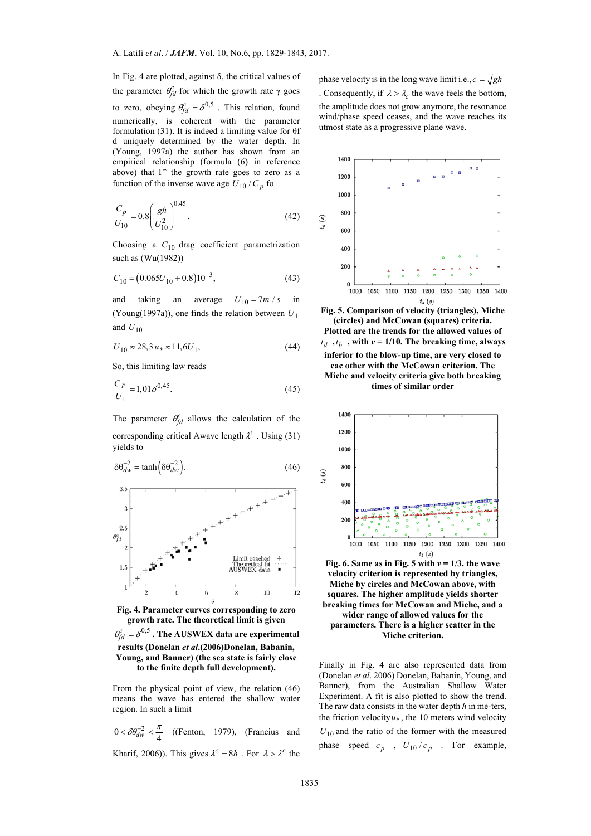In Fig. 4 are plotted, against δ, the critical values of the parameter  $θ_{fd}^c$  for which the growth rate γ goes to zero, obeying  $\theta_{fd}^c = \delta^{0,5}$ . This relation, found numerically, is coherent with the parameter formulation (31). It is indeed a limiting value for θf d uniquely determined by the water depth. In (Young, 1997a) the author has shown from an empirical relationship (formula (6) in reference above) that  $\Gamma$ <sup> $\hat{ }$ </sup> the growth rate goes to zero as a function of the inverse wave age  $U_{10}/C_p$  for

$$
\frac{C_p}{U_{10}} = 0.8 \left(\frac{gh}{U_{10}^2}\right)^{0.45}.
$$
\n(42)

Choosing a *C*<sup>10</sup> drag coefficient parametrization such as (Wu(1982))

$$
C_{10} = (0.065U_{10} + 0.8)10^{-3},\tag{43}
$$

and taking an average  $U_{10} = 7m/s$  in (Young(1997a)), one finds the relation between *U*<sup>1</sup> and  $U_{10}$ 

$$
U_{10} \approx 28.3 \, u_* \approx 11.6 U_1,\tag{44}
$$

So, this limiting law reads

$$
\frac{C_P}{U_1} = 1,01\delta^{0,45}.\tag{45}
$$

The parameter  $\theta_{fd}^c$  allows the calculation of the corresponding critical Awave length  $\lambda^c$ . Using (31) yields to



**Fig. 4. Parameter curves corresponding to zero growth rate. The theoretical limit is given**   $\theta_{fd}^c = \delta^{0,5}$ . The AUSWEX data are experimental

**results (Donelan** *et al***.(2006)Donelan, Babanin, Young, and Banner) (the sea state is fairly close to the finite depth full development).** 

From the physical point of view, the relation (46) means the wave has entered the shallow water region. In such a limit

 $0 < \delta \theta_{dw}^{-2} < \frac{\pi}{4}$  ((Fenton, 1979), (Francius and Kharif, 2006)). This gives  $\lambda^c = 8h$ . For  $\lambda > \lambda^c$  the

phase velocity is in the long wave limit i.e.,  $c = \sqrt{gh}$ . Consequently, if  $\lambda > \lambda_c$  the wave feels the bottom, the amplitude does not grow anymore, the resonance wind/phase speed ceases, and the wave reaches its utmost state as a progressive plane wave.







Fig. 6. Same as in Fig. 5 with  $v = 1/3$ . the wave **velocity criterion is represented by triangles, Miche by circles and McCowan above, with squares. The higher amplitude yields shorter breaking times for McCowan and Miche, and a wider range of allowed values for the parameters. There is a higher scatter in the Miche criterion.** 

Finally in Fig. 4 are also represented data from (Donelan *et al*. 2006) Donelan, Babanin, Young, and Banner), from the Australian Shallow Water Experiment. A fit is also plotted to show the trend. The raw data consists in the water depth *h* in me-ters, the friction velocity  $u_*$ , the 10 meters wind velocity  $U_{10}$  and the ratio of the former with the measured phase speed  $c_p$ ,  $U_{10}/c_p$ . For example,

 $t_d(s)$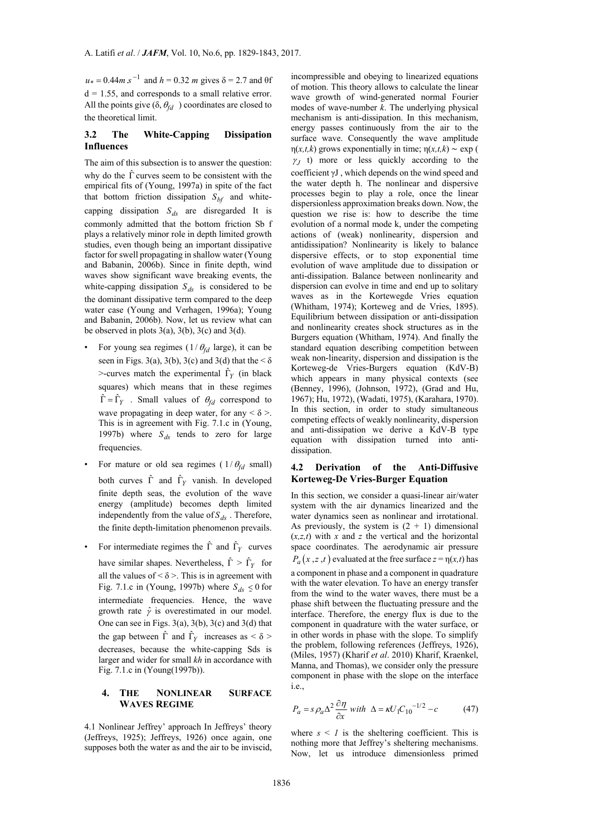$u_* = 0.44 m s^{-1}$  and  $h = 0.32 m$  gives  $\delta = 2.7$  and  $\theta f$  $d = 1.55$ , and corresponds to a small relative error. All the points give  $(\delta, \theta_{fd})$  coordinates are closed to the theoretical limit.

# **3.2 The White-Capping Dissipation Influences**

The aim of this subsection is to answer the question: why do the  $\hat{\Gamma}$  curves seem to be consistent with the empirical fits of (Young, 1997a) in spite of the fact that bottom friction dissipation  $S_{bf}$  and whitecapping dissipation  $S_{ds}$  are disregarded It is commonly admitted that the bottom friction Sb f plays a relatively minor role in depth limited growth studies, even though being an important dissipative factor for swell propagating in shallow water (Young and Babanin, 2006b). Since in finite depth, wind waves show significant wave breaking events, the white-capping dissipation  $S_{ds}$  is considered to be the dominant dissipative term compared to the deep water case (Young and Verhagen, 1996a); Young and Babanin, 2006b). Now, let us review what can be observed in plots  $3(a)$ ,  $3(b)$ ,  $3(c)$  and  $3(d)$ .

- For young sea regimes  $(1/\theta_{fd} \text{ large})$ , it can be seen in Figs. 3(a), 3(b), 3(c) and 3(d) that the  $\leq \delta$  $\ge$ -curves match the experimental  $\hat{\Gamma}_Y$  (in black squares) which means that in these regimes  $\hat{\Gamma} = \hat{\Gamma}_Y$ . Small values of  $\theta_{fd}$  correspond to wave propagating in deep water, for any  $\leq \delta$  >. This is in agreement with Fig. 7.1.c in (Young, 1997b) where  $S_{ds}$  tends to zero for large frequencies.
- For mature or old sea regimes ( $1/\theta_{fd}$  small) both curves  $\hat{\Gamma}$  and  $\hat{\Gamma}_Y$  vanish. In developed finite depth seas, the evolution of the wave energy (amplitude) becomes depth limited independently from the value of  $S_{ds}$ . Therefore, the finite depth-limitation phenomenon prevails.
- For intermediate regimes the  $\hat{\Gamma}$  and  $\hat{\Gamma}_Y$  curves have similar shapes. Nevertheless,  $\hat{\Gamma} > \hat{\Gamma}_Y$  for all the values of  $\leq \delta$  >. This is in agreement with Fig. 7.1.c in (Young, 1997b) where  $S_{ds} \le 0$  for intermediate frequencies. Hence, the wave growth rate  $\hat{\gamma}$  is overestimated in our model. One can see in Figs. 3(a), 3(b), 3(c) and 3(d) that the gap between  $\hat{\Gamma}$  and  $\hat{\Gamma}_Y$  increases as <  $\delta$  > decreases, because the white-capping Sds is larger and wider for small *kh* in accordance with Fig. 7.1.c in (Young(1997b)).

# **4. THE NONLINEAR SURFACE WAVES REGIME**

4.1 Nonlinear Jeffrey' approach In Jeffreys' theory (Jeffreys, 1925); Jeffreys, 1926) once again, one supposes both the water as and the air to be inviscid,

incompressible and obeying to linearized equations of motion. This theory allows to calculate the linear wave growth of wind-generated normal Fourier modes of wave-number *k*. The underlying physical mechanism is anti-dissipation. In this mechanism, energy passes continuously from the air to the surface wave. Consequently the wave amplitude η(*x,t,k*) grows exponentially in time; η(*x,t,k*) ∼ exp (  $\gamma_I$  t) more or less quickly according to the coefficient γJ , which depends on the wind speed and the water depth h. The nonlinear and dispersive processes begin to play a role, once the linear dispersionless approximation breaks down. Now, the question we rise is: how to describe the time evolution of a normal mode k, under the competing actions of (weak) nonlinearity, dispersion and antidissipation? Nonlinearity is likely to balance dispersive effects, or to stop exponential time evolution of wave amplitude due to dissipation or anti-dissipation. Balance between nonlinearity and dispersion can evolve in time and end up to solitary waves as in the Kortewegde Vries equation (Whitham, 1974); Korteweg and de Vries, 1895). Equilibrium between dissipation or anti-dissipation and nonlinearity creates shock structures as in the Burgers equation (Whitham, 1974). And finally the standard equation describing competition between weak non-linearity, dispersion and dissipation is the Korteweg-de Vries-Burgers equation (KdV-B) which appears in many physical contexts (see (Benney, 1996), (Johnson, 1972), (Grad and Hu, 1967); Hu, 1972), (Wadati, 1975), (Karahara, 1970). In this section, in order to study simultaneous competing effects of weakly nonlinearity, dispersion and anti-dissipation we derive a KdV-B type equation with dissipation turned into antidissipation.

## **4.2 Derivation of the Anti-Diffusive Korteweg-De Vries-Burger Equation**

In this section, we consider a quasi-linear air/water system with the air dynamics linearized and the water dynamics seen as nonlinear and irrotational. As previously, the system is  $(2 + 1)$  dimensional  $(x, z, t)$  with *x* and *z* the vertical and the horizontal space coordinates. The aerodynamic air pressure  $P_a(x, z, t)$  evaluated at the free surface  $z = \eta(x, t)$  has a component in phase and a component in quadrature with the water elevation. To have an energy transfer from the wind to the water waves, there must be a phase shift between the fluctuating pressure and the interface. Therefore, the energy flux is due to the component in quadrature with the water surface, or in other words in phase with the slope. To simplify the problem, following references (Jeffreys, 1926), (Miles, 1957) (Kharif *et al*. 2010) Kharif, Kraenkel, Manna, and Thomas), we consider only the pressure component in phase with the slope on the interface i.e.,

$$
P_a = s \rho_a \Delta^2 \frac{\partial \eta}{\partial x} \text{ with } \Delta = \kappa U_1 C_{10}^{-1/2} - c \tag{47}
$$

where  $s \leq 1$  is the sheltering coefficient. This is nothing more that Jeffrey's sheltering mechanisms. Now, let us introduce dimensionless primed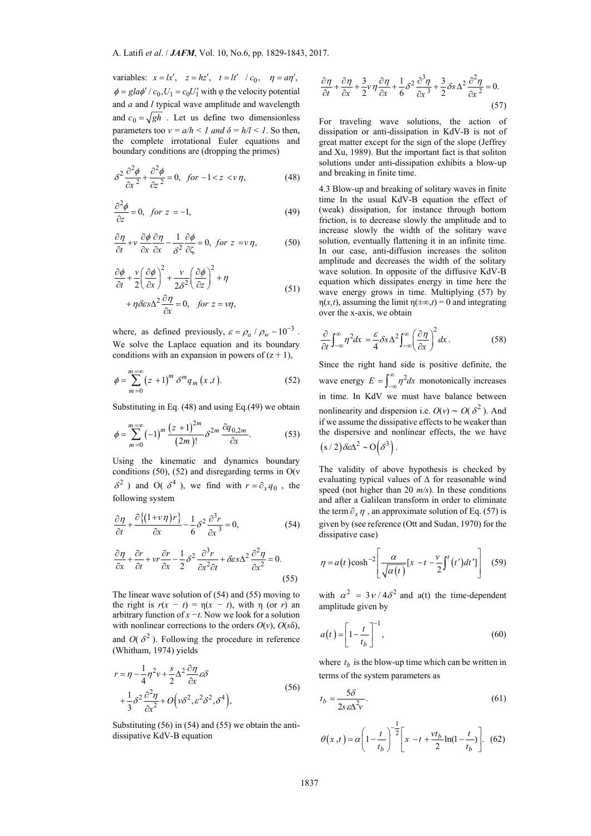variables:  $x = lx', z = hz', t = lt' / c_0, \eta = a\eta',$  $\phi = gla\phi' / c_0$ ,  $U_1 = c_0 U_1'$  with  $\phi$  the velocity potential and *a* and *l* typical wave amplitude and wavelength and  $c_0 = \sqrt{gh}$ . Let us define two dimensionless parameters too  $v = a/h < 1$  and  $\delta = h/l < 1$ . So then, the complete irrotational Euler equations and boundary conditions are (dropping the primes)

$$
\delta^2 \frac{\partial^2 \phi}{\partial x^2} + \frac{\partial^2 \phi}{\partial z^2} = 0, \quad \text{for } -1 < z < v \eta,\tag{48}
$$

$$
\frac{\partial^2 \phi}{\partial z} = 0, \quad \text{for } z = -1,\tag{49}
$$

$$
\frac{\partial \eta}{\partial t} + v \frac{\partial \phi}{\partial x} \frac{\partial \eta}{\partial x} - \frac{1}{\delta^2} \frac{\partial \phi}{\partial \zeta} = 0, \text{ for } z = v \eta,
$$
 (50)

$$
\frac{\partial \phi}{\partial t} + \frac{v}{2} \left( \frac{\partial \phi}{\partial x} \right)^2 + \frac{v}{2\delta^2} \left( \frac{\partial \phi}{\partial z} \right)^2 + \eta
$$
  
+  $\eta \delta \varepsilon s \Delta^2 \frac{\partial \eta}{\partial x} = 0$ , for  $z = v\eta$ , (51)

where, as defined previously,  $\varepsilon = \rho_a / \rho_w \sim 10^{-3}$ . We solve the Laplace equation and its boundary conditions with an expansion in powers of  $(z + 1)$ ,

$$
\phi = \sum_{m=0}^{m=\infty} (z+1)^m \delta^m q_m(x,t). \tag{52}
$$

Substituting in Eq. (48) and using Eq.(49) we obtain

$$
\phi = \sum_{m=0}^{m=\infty} (-1)^m \frac{(z+1)^{2m}}{(2m)!} \delta^{2m} \frac{\partial q_{0,2m}}{\partial x}.
$$
 (53)

Using the kinematic and dynamics boundary conditions (50), (52) and disregarding terms in  $O(v)$  $\delta^2$ ) and O( $\delta^4$ ), we find with  $r = \partial_x q_0$ , the following system

$$
\frac{\partial \eta}{\partial t} + \frac{\partial \left\{ (1 + v \eta) r \right\}}{\partial x} - \frac{1}{6} \delta^2 \frac{\partial^3 r}{\partial x^3} = 0, \tag{54}
$$

$$
\frac{\partial \eta}{\partial x} + \frac{\partial r}{\partial t} + vr \frac{\partial r}{\partial x} - \frac{1}{2} \delta^2 \frac{\partial^3 r}{\partial x^2 \partial t} + \delta \varepsilon s \Delta^2 \frac{\partial^2 \eta}{\partial x^2} = 0.
$$
\n(55)

The linear wave solution of (54) and (55) moving to the right is  $r(x - t) = \eta(x - t)$ , with  $\eta$  (or *r*) an arbitrary function of *x −t*. Now we look for a solution with nonlinear corrections to the orders  $O(v)$ ,  $O(s\delta)$ , and  $O(\delta^2)$ . Following the procedure in reference (Whitham, 1974) yields

$$
r = \eta - \frac{1}{4}\eta^2 v + \frac{s}{2}\Delta^2 \frac{\partial \eta}{\partial x} \varepsilon \delta
$$
  
+ 
$$
\frac{1}{3}\delta^2 \frac{\partial^2 \eta}{\partial x^2} + O(v\delta^2, \varepsilon^2 \delta^2, \delta^4),
$$
 (56)

Substituting (56) in (54) and (55) we obtain the antidissipative KdV-B equation

$$
\frac{\partial \eta}{\partial t} + \frac{\partial \eta}{\partial x} + \frac{3}{2} \nu \eta \frac{\partial \eta}{\partial x} + \frac{1}{6} \delta^2 \frac{\partial^3 \eta}{\partial x^3} + \frac{3}{2} \delta s \Delta^2 \frac{\partial^2 \eta}{\partial x^2} = 0.
$$
\n(57)

For traveling wave solutions, the action of dissipation or anti-dissipation in KdV-B is not of great matter except for the sign of the slope (Jeffrey and Xu, 1989). But the important fact is that soliton solutions under anti-dissipation exhibits a blow-up and breaking in finite time.

4.3 Blow-up and breaking of solitary waves in finite time In the usual KdV-B equation the effect of (weak) dissipation, for instance through bottom friction, is to decrease slowly the amplitude and to increase slowly the width of the solitary wave solution, eventually flattening it in an infinite time. In our case, anti-diffusion increases the soliton amplitude and decreases the width of the solitary wave solution. In opposite of the diffusive KdV-B equation which dissipates energy in time here the wave energy grows in time. Multiplying (57) by η(*x,t*), assuming the limit η(±∞,*t*) = 0 and integrating over the x-axis, we obtain

$$
\frac{\partial}{\partial t} \int_{-\infty}^{\infty} \eta^2 dx = \frac{\varepsilon}{4} \delta s \Delta^2 \int_{-\infty}^{\infty} \left( \frac{\partial \eta}{\partial x} \right)^2 dx \,. \tag{58}
$$

Since the right hand side is positive definite, the wave energy  $E = \int_{-\infty}^{\infty} \eta^2 dx$  monotonically increases in time. In KdV we must have balance between nonlinearity and dispersion i.e.  $O(v) \sim O(\delta^2)$ . And if we assume the dissipative effects to be weaker than the dispersive and nonlinear effects, the we have  $(s/2)\delta \epsilon \Delta^2 \sim O(\delta^3)$ .

The validity of above hypothesis is checked by evaluating typical values of ∆ for reasonable wind speed (not higher than 20 *m/s*). In these conditions and after a Galilean transform in order to eliminate the term  $\partial_x \eta$ , an approximate solution of Eq. (57) is given by (see reference (Ott and Sudan, 1970) for the dissipative case)

$$
\eta = a(t)\cosh^{-2}\left[\frac{\alpha}{\sqrt{\alpha(t)}}[x - t - \frac{\nu}{2}\int^t (t')dt']\right] \quad (59)
$$

with  $\alpha^2 = 3v/4\delta^2$  and a(t) the time-dependent amplitude given by

$$
a(t) = \left[1 - \frac{t}{t_b}\right]^{-1},\tag{60}
$$

where  $t<sub>b</sub>$  is the blow-up time which can be written in terms of the system parameters as

$$
t_b = \frac{5\delta}{2s\,\varepsilon\Delta^2 v}.\tag{61}
$$

$$
\theta(x,t) = \alpha \left(1 - \frac{t}{t_b}\right)^{-\frac{1}{2}} \left[x - t + \frac{vt_b}{2}\ln(1 - \frac{t}{t_b})\right].
$$
 (62)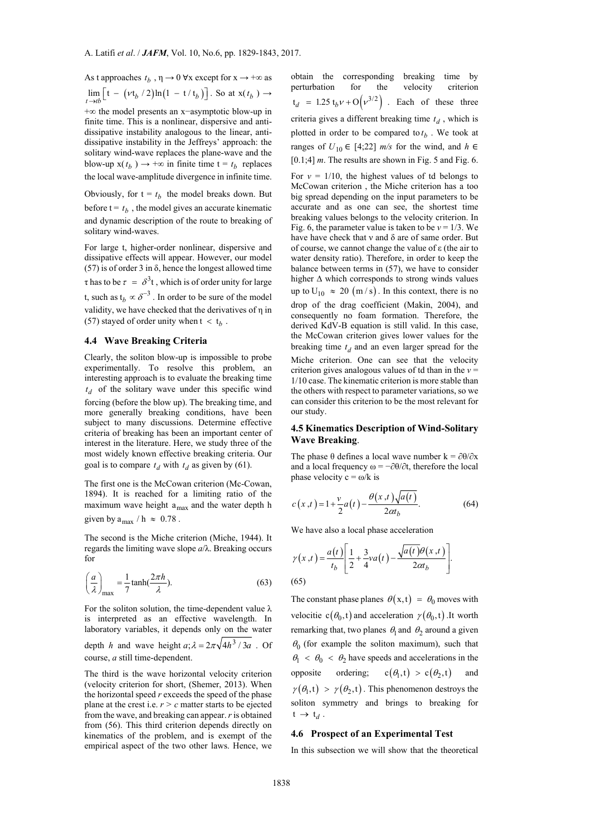As t approaches  $t_h$ ,  $\eta \rightarrow 0$   $\forall x$  except for  $x \rightarrow +\infty$  as  $\lim_{t \to tb} \left[ t - \left( vt_b / 2 \right) \ln \left( 1 - t / t_b \right) \right]$ . So at  $x(t_b) \to$ 

+∞ the model presents an x−asymptotic blow-up in finite time. This is a nonlinear, dispersive and antidissipative instability analogous to the linear, antidissipative instability in the Jeffreys' approach: the solitary wind-wave replaces the plane-wave and the blow-up  $x(t_h) \rightarrow +\infty$  in finite time  $t = t_h$  replaces the local wave-amplitude divergence in infinite time.

Obviously, for  $t = t<sub>b</sub>$  the model breaks down. But before  $t = t_b$ , the model gives an accurate kinematic and dynamic description of the route to breaking of solitary wind-waves.

For large t, higher-order nonlinear, dispersive and dissipative effects will appear. However, our model  $(57)$  is of order 3 in  $\delta$ , hence the longest allowed time  $\tau$  has to be  $\tau = \delta^3 t$ , which is of order unity for large t, such as  $t_b \propto \delta^{-3}$ . In order to be sure of the model validity, we have checked that the derivatives of η in (57) stayed of order unity when  $t < t_b$ .

### **4.4 Wave Breaking Criteria**

Clearly, the soliton blow-up is impossible to probe experimentally. To resolve this problem, an interesting approach is to evaluate the breaking time  $t_d$  of the solitary wave under this specific wind forcing (before the blow up). The breaking time, and more generally breaking conditions, have been subject to many discussions. Determine effective criteria of breaking has been an important center of interest in the literature. Here, we study three of the most widely known effective breaking criteria. Our goal is to compare  $t_d$  with  $t_d$  as given by (61).

The first one is the McCowan criterion (Mc-Cowan, 1894). It is reached for a limiting ratio of the maximum wave height  $a_{max}$  and the water depth h given by  $a_{max} / h \approx 0.78$ .

The second is the Miche criterion (Miche, 1944). It regards the limiting wave slope *a*/λ. Breaking occurs for

$$
\left(\frac{a}{\lambda}\right)_{\text{max}} = \frac{1}{7} \tanh\left(\frac{2\pi h}{\lambda}\right). \tag{63}
$$

For the soliton solution, the time-dependent value  $\lambda$ is interpreted as an effective wavelength. In laboratory variables, it depends only on the water depth *h* and wave height  $a$ ;  $\lambda = 2\pi \sqrt{4h^3/3a}$  . Of course, *a* still time-dependent.

The third is the wave horizontal velocity criterion (velocity criterion for short, (Shemer, 2013). When the horizontal speed *r* exceeds the speed of the phase plane at the crest i.e.  $r > c$  matter starts to be ejected from the wave, and breaking can appear. *r* is obtained from (56). This third criterion depends directly on kinematics of the problem, and is exempt of the empirical aspect of the two other laws. Hence, we obtain the corresponding breaking time by perturbation for the velocity criterion  $t_d = 1.25 t_b v + O(v^{3/2})$  . Each of these three criteria gives a different breaking time  $t_d$ , which is plotted in order to be compared to  $t_b$ . We took at ranges of  $U_{10}$  ∈ [4;22] *m/s* for the wind, and  $h$  ∈ [0.1;4] *m*. The results are shown in Fig. 5 and Fig. 6.

For  $v = 1/10$ , the highest values of td belongs to McCowan criterion , the Miche criterion has a too big spread depending on the input parameters to be accurate and as one can see, the shortest time breaking values belongs to the velocity criterion. In Fig. 6, the parameter value is taken to be  $v = 1/3$ . We have have check that ν and δ are of same order. But of course, we cannot change the value of ε (the air to water density ratio). Therefore, in order to keep the balance between terms in (57), we have to consider higher ∆ which corresponds to strong winds values up to  $U_{10} \approx 20$  (m/s). In this context, there is no drop of the drag coefficient (Makin, 2004), and consequently no foam formation. Therefore, the derived KdV-B equation is still valid. In this case, the McCowan criterion gives lower values for the breaking time  $t_d$  and an even larger spread for the Miche criterion. One can see that the velocity criterion gives analogous values of td than in the *ν* = 1/10 case. The kinematic criterion is more stable than the others with respect to parameter variations, so we

## **4.5 Kinematics Description of Wind-Solitary Wave Breaking**.

can consider this criterion to be the most relevant for

The phase  $\theta$  defines a local wave number k =  $\partial \theta / \partial x$ and a local frequency  $\omega = -\partial\theta/\partial t$ , therefore the local phase velocity  $c = \omega/k$  is

$$
c(x,t) = 1 + \frac{v}{2}a(t) - \frac{\theta(x,t)\sqrt{a(t)}}{2\alpha t}.
$$
 (64)

We have also a local phase acceleration

our study.

$$
\gamma(x,t) = \frac{a(t)}{t_b} \left[ \frac{1}{2} + \frac{3}{4} v a(t) - \frac{\sqrt{a(t)} \theta(x,t)}{2 \alpha t_b} \right].
$$
\n
$$
(65)
$$

The constant phase planes  $\theta(x,t) = \theta_0$  moves with velocitie  $c(\theta_0, t)$  and acceleration  $\gamma(\theta_0, t)$ . It worth remarking that, two planes  $\theta_1$  and  $\theta_2$  around a given  $\theta_0$  (for example the soliton maximum), such that  $\theta_1$  <  $\theta_0$  <  $\theta_2$  have speeds and accelerations in the opposite ordering;  $c(\theta_1, t) > c(\theta_2, t)$  and  $\gamma(\theta_1, t) > \gamma(\theta_2, t)$ . This phenomenon destroys the soliton symmetry and brings to breaking for  $t \rightarrow t_d$ .

#### **4.6 Prospect of an Experimental Test**

In this subsection we will show that the theoretical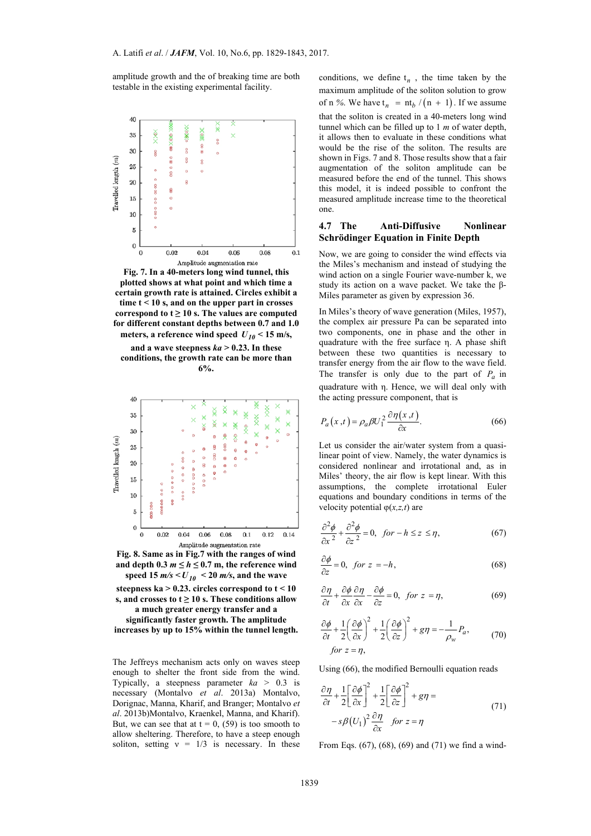amplitude growth and the of breaking time are both testable in the existing experimental facility.



**Fig. 7. In a 40-meters long wind tunnel, this plotted shows at what point and which time a certain growth rate is attained. Circles exhibit a time t < 10 s, and on the upper part in crosses correspond to**  $t \geq 10$  **s. The values are computed for different constant depths between 0.7 and 1.0 meters, a reference wind speed**  $U_{10}$  **< 15 m/s,** 

and a wave steepness  $ka > 0.23$ . In these **conditions, the growth rate can be more than 6%.** 



**Fig. 8. Same as in Fig.7 with the ranges of wind**  and depth  $0.3$   $m \leq h \leq 0.7$  m, the reference wind **speed 15** *m/s* **<**  $U_{10}$  **< 20** *m/s***, and the wave steepness ka > 0.23. circles correspond to t < 10 s, and crosses to**  $t \geq 10$  **s. These conditions allow** 

**a much greater energy transfer and a significantly faster growth. The amplitude increases by up to 15% within the tunnel length.**

The Jeffreys mechanism acts only on waves steep enough to shelter the front side from the wind. Typically, a steepness parameter  $ka > 0.3$  is necessary (Montalvo *et al*. 2013a) Montalvo, Dorignac, Manna, Kharif, and Branger; Montalvo *et al*. 2013b)Montalvo, Kraenkel, Manna, and Kharif). But, we can see that at  $t = 0$ , (59) is too smooth to allow sheltering. Therefore, to have a steep enough soliton, setting  $v = 1/3$  is necessary. In these conditions, we define  $t_n$ , the time taken by the maximum amplitude of the soliton solution to grow of n %. We have  $t_n = nt_b / (n + 1)$ . If we assume that the soliton is created in a 40-meters long wind tunnel which can be filled up to 1 *m* of water depth, it allows then to evaluate in these conditions what would be the rise of the soliton. The results are shown in Figs. 7 and 8. Those results show that a fair augmentation of the soliton amplitude can be measured before the end of the tunnel. This shows this model, it is indeed possible to confront the measured amplitude increase time to the theoretical one.

## **4.7 The Anti-Diffusive Nonlinear Schrödinger Equation in Finite Depth**

Now, we are going to consider the wind effects via the Miles's mechanism and instead of studying the wind action on a single Fourier wave-number k, we study its action on a wave packet. We take the β-Miles parameter as given by expression 36.

In Miles's theory of wave generation (Miles, 1957), the complex air pressure Pa can be separated into two components, one in phase and the other in quadrature with the free surface η. A phase shift between these two quantities is necessary to transfer energy from the air flow to the wave field. The transfer is only due to the part of  $P_a$  in quadrature with η. Hence, we will deal only with the acting pressure component, that is

$$
P_a(x,t) = \rho_a \beta U_1^2 \frac{\partial \eta(x,t)}{\partial x}.
$$
 (66)

Let us consider the air/water system from a quasilinear point of view. Namely, the water dynamics is considered nonlinear and irrotational and, as in Miles' theory, the air flow is kept linear. With this assumptions, the complete irrotational Euler equations and boundary conditions in terms of the velocity potential φ(*x,z,t*) are

$$
\frac{\partial^2 \phi}{\partial x^2} + \frac{\partial^2 \phi}{\partial z^2} = 0, \quad \text{for } -h \le z \le \eta,
$$
 (67)

$$
\frac{\partial \phi}{\partial z} = 0, \quad \text{for } z = -h,
$$
\n(68)

$$
\frac{\partial \eta}{\partial t} + \frac{\partial \phi}{\partial x} \frac{\partial \eta}{\partial x} - \frac{\partial \phi}{\partial z} = 0, \text{ for } z = \eta,
$$
 (69)

$$
\frac{\partial \phi}{\partial t} + \frac{1}{2} \left( \frac{\partial \phi}{\partial x} \right)^2 + \frac{1}{2} \left( \frac{\partial \phi}{\partial z} \right)^2 + g\eta = -\frac{1}{\rho_w} P_a,
$$
\nfor  $z = \eta$ ,

\n(70)

Using (66), the modified Bernoulli equation reads

$$
\frac{\partial \eta}{\partial t} + \frac{1}{2} \left[ \frac{\partial \phi}{\partial x} \right]^2 + \frac{1}{2} \left[ \frac{\partial \phi}{\partial z} \right]^2 + g\eta =
$$
  

$$
-s\beta (U_1)^2 \frac{\partial \eta}{\partial x} \quad \text{for } z = \eta
$$
 (71)

From Eqs. (67), (68), (69) and (71) we find a wind-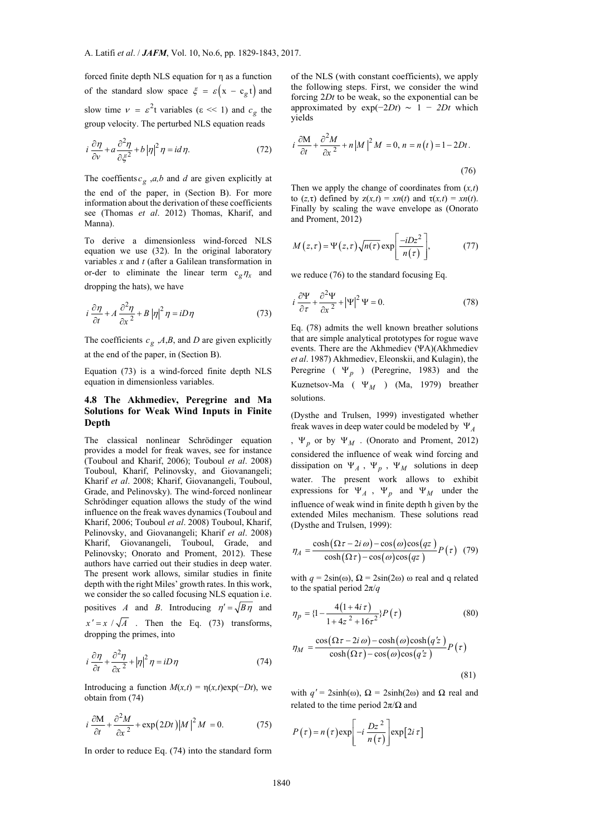forced finite depth NLS equation for η as a function of the standard slow space  $\xi = \varepsilon (x - c_{\varphi} t)$  and slow time  $v = \varepsilon^2 t$  variables ( $\varepsilon \ll 1$ ) and  $c_{\sigma}$  the group velocity. The perturbed NLS equation reads

$$
i\frac{\partial \eta}{\partial v} + a\frac{\partial^2 \eta}{\partial \xi^2} + b\left|\eta\right|^2 \eta = id\,\eta. \tag{72}
$$

The coeffients  $c_g$ , *a*,*b* and *d* are given explicitly at the end of the paper, in (Section B). For more information about the derivation of these coefficients see (Thomas *et al*. 2012) Thomas, Kharif, and Manna).

To derive a dimensionless wind-forced NLS equation we use (32). In the original laboratory variables *x* and *t* (after a Galilean transformation in or-der to eliminate the linear term  $c_g \eta_x$  and dropping the hats), we have

$$
i\frac{\partial \eta}{\partial t} + A \frac{\partial^2 \eta}{\partial x^2} + B |\eta|^2 \eta = iD\eta
$$
 (73)

The coefficients  $c_g$ , *A*,*B*, and *D* are given explicitly at the end of the paper, in (Section B).

Equation (73) is a wind-forced finite depth NLS equation in dimensionless variables.

# **4.8 The Akhmediev, Peregrine and Ma Solutions for Weak Wind Inputs in Finite Depth**

The classical nonlinear Schrödinger equation provides a model for freak waves, see for instance (Touboul and Kharif, 2006); Touboul *et al*. 2008) Touboul, Kharif, Pelinovsky, and Giovanangeli; Kharif *et al*. 2008; Kharif, Giovanangeli, Touboul, Grade, and Pelinovsky). The wind-forced nonlinear Schrödinger equation allows the study of the wind influence on the freak waves dynamics (Touboul and Kharif, 2006; Touboul *et al*. 2008) Touboul, Kharif, Pelinovsky, and Giovanangeli; Kharif *et al*. 2008) Kharif, Giovanangeli, Touboul, Grade, and Pelinovsky; Onorato and Proment, 2012). These authors have carried out their studies in deep water. The present work allows, similar studies in finite depth with the right Miles' growth rates. In this work, we consider the so called focusing NLS equation i.e. positives *A* and *B*. Introducing  $\eta' = \sqrt{B\eta}$  and  $x' = x / \sqrt{A}$ . Then the Eq. (73) transforms, dropping the primes, into

$$
i\frac{\partial \eta}{\partial t} + \frac{\partial^2 \eta}{\partial x^2} + |\eta|^2 \eta = iD\eta
$$
 (74)

Introducing a function  $M(x,t) = \eta(x,t) \exp(-Dt)$ , we obtain from (74)

$$
i\frac{\partial M}{\partial t} + \frac{\partial^2 M}{\partial x^2} + \exp(2Dt)|M|^2 M = 0.
$$
 (75)

In order to reduce Eq. (74) into the standard form

of the NLS (with constant coefficients), we apply the following steps. First, we consider the wind forcing 2*Dt* to be weak, so the exponential can be approximated by  $exp(-2Dt) \sim 1 - 2Dt$  which yields

$$
i\frac{\partial M}{\partial t} + \frac{\partial^2 M}{\partial x^2} + n\left|M\right|^2 M = 0, n = n(t) = 1 - 2Dt.
$$
\n(76)

Then we apply the change of coordinates from (*x,t*) to  $(z, \tau)$  defined by  $z(x,t) = xn(t)$  and  $\tau(x,t) = xn(t)$ . Finally by scaling the wave envelope as (Onorato and Proment, 2012)

$$
M(z,\tau) = \Psi(z,\tau)\sqrt{n(\tau)}\exp\left[\frac{-iDz^2}{n(\tau)}\right],\tag{77}
$$

we reduce (76) to the standard focusing Eq.

$$
i\frac{\partial \Psi}{\partial \tau} + \frac{\partial^2 \Psi}{\partial x^2} + |\Psi|^2 \Psi = 0.
$$
 (78)

Eq. (78) admits the well known breather solutions that are simple analytical prototypes for rogue wave events. There are the Akhmediev (ΨA)(Akhmediev *et al*. 1987) Akhmediev, Eleonskii, and Kulagin), the Peregrine ( $\Psi_p$ ) (Peregrine, 1983) and the Kuznetsov-Ma ( $\Psi_M$ ) (Ma, 1979) breather solutions.

(Dysthe and Trulsen, 1999) investigated whether freak waves in deep water could be modeled by  $\Psi_A$ ,  $\Psi_p$  or by  $\Psi_M$ . (Onorato and Proment, 2012) considered the influence of weak wind forcing and dissipation on  $\Psi_A$ ,  $\Psi_p$ ,  $\Psi_M$  solutions in deep water. The present work allows to exhibit expressions for  $\Psi_A$ ,  $\Psi_p$  and  $\Psi_M$  under the influence of weak wind in finite depth h given by the extended Miles mechanism. These solutions read (Dysthe and Trulsen, 1999):

$$
\eta_A = \frac{\cosh(\Omega \tau - 2i \omega) - \cos(\omega)\cos(qz)}{\cosh(\Omega \tau) - \cos(\omega)\cos(qz)} P(\tau)
$$
 (79)

with  $q = 2\sin(\omega)$ ,  $\Omega = 2\sin(2\omega)$  ω real and q related to the spatial period 2π/*q*

$$
\eta_p = \left\{1 - \frac{4\left(1 + 4i\,\tau\right)}{1 + 4z^2 + 16\tau^2}\right\} P\left(\tau\right) \tag{80}
$$

$$
\eta_M = \frac{\cos(\Omega \tau - 2i \omega) - \cosh(\omega)\cosh(qz)}{\cosh(\Omega \tau) - \cos(\omega)\cos(qz)} P(\tau)
$$

(81)

with  $q' = 2\sinh(\omega)$ ,  $\Omega = 2\sinh(2\omega)$  and  $\Omega$  real and related to the time period  $2\pi/\Omega$  and

$$
P(\tau) = n(\tau) \exp\left[-i\frac{Dz^2}{n(\tau)}\right] \exp[2i\tau]
$$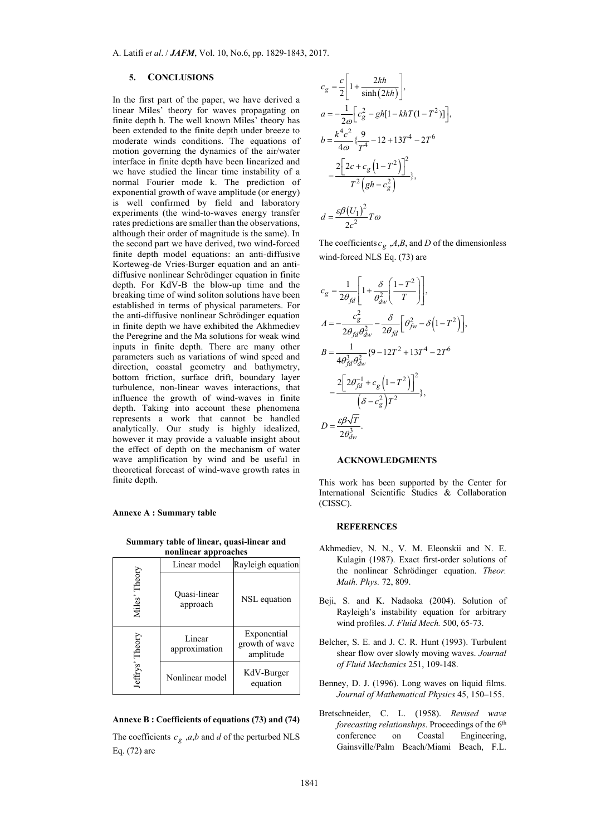#### **5. CONCLUSIONS**

In the first part of the paper, we have derived a linear Miles' theory for waves propagating on finite depth h. The well known Miles' theory has been extended to the finite depth under breeze to moderate winds conditions. The equations of motion governing the dynamics of the air/water interface in finite depth have been linearized and we have studied the linear time instability of a normal Fourier mode k. The prediction of exponential growth of wave amplitude (or energy) is well confirmed by field and laboratory experiments (the wind-to-waves energy transfer rates predictions are smaller than the observations, although their order of magnitude is the same). In the second part we have derived, two wind-forced finite depth model equations: an anti-diffusive Korteweg-de Vries-Burger equation and an antidiffusive nonlinear Schrödinger equation in finite depth. For KdV-B the blow-up time and the breaking time of wind soliton solutions have been established in terms of physical parameters. For the anti-diffusive nonlinear Schrödinger equation in finite depth we have exhibited the Akhmediev the Peregrine and the Ma solutions for weak wind inputs in finite depth. There are many other parameters such as variations of wind speed and direction, coastal geometry and bathymetry, bottom friction, surface drift, boundary layer turbulence, non-linear waves interactions, that influence the growth of wind-waves in finite depth. Taking into account these phenomena represents a work that cannot be handled analytically. Our study is highly idealized, however it may provide a valuable insight about the effect of depth on the mechanism of water wave amplification by wind and be useful in theoretical forecast of wind-wave growth rates in finite depth.

#### **Annexe A : Summary table**

**Summary table of linear, quasi-linear and nonlinear approaches** 

|                    | Linear model             | Rayleigh equation                          |
|--------------------|--------------------------|--------------------------------------------|
| Miles' Theory      | Quasi-linear<br>approach | NSL equation                               |
| Theory<br>Jeffrys' | Linear<br>approximation  | Exponential<br>growth of wave<br>amplitude |
|                    | Nonlinear model          | KdV-Burger<br>equation                     |

#### **Annexe B : Coefficients of equations (73) and (74)**

The coefficients  $c_g$ , *a*,*b* and *d* of the perturbed NLS Eq. (72) are

$$
c_g = \frac{c}{2} \left[ 1 + \frac{2kh}{\sinh(2kh)} \right],
$$
  
\n
$$
a = -\frac{1}{2\omega} \left[ c_g^2 - gh[1 - khT(1 - T^2)] \right],
$$
  
\n
$$
b = \frac{k^4 c^2}{4\omega} \left\{ \frac{9}{T^4} - 12 + 13T^4 - 2T^6 \right\}
$$
  
\n
$$
- \frac{2 \left[ 2c + c_g \left( 1 - T^2 \right) \right]^2}{T^2 \left( gh - c_g^2 \right)},
$$
  
\n
$$
d = \frac{\varepsilon \beta (U_1)^2}{2c^2} T\omega
$$

The coefficients  $c_g$ , *A*,*B*, and *D* of the dimensionless wind-forced NLS Eq. (73) are

$$
c_g = \frac{1}{2\theta_{fd}} \left[ 1 + \frac{\delta}{\theta_{dw}^2} \left( \frac{1 - T^2}{T} \right) \right],
$$
  
\n
$$
A = -\frac{c_g^2}{2\theta_{fd}\theta_{dw}^2} - \frac{\delta}{2\theta_{fd}} \left[ \theta_{fw}^2 - \delta \left( 1 - T^2 \right) \right],
$$
  
\n
$$
B = \frac{1}{4\theta_{jd}^3 \theta_{dw}^2} \left\{ 9 - 12T^2 + 13T^4 - 2T^6 \right\}
$$
  
\n
$$
- \frac{2 \left[ 2\theta_{fd}^{-1} + c_g \left( 1 - T^2 \right) \right]^2}{\left( \delta - c_g^2 \right) T^2},
$$
  
\n
$$
D = \frac{\varepsilon \beta \sqrt{T}}{2\theta_{dw}^3}.
$$

## **ACKNOWLEDGMENTS**

This work has been supported by the Center for International Scientific Studies & Collaboration (CISSC).

#### **REFERENCES**

- Akhmediev, N. N., V. M. Eleonskii and N. E. Kulagin (1987). Exact first-order solutions of the nonlinear Schrödinger equation. *Theor. Math. Phys.* 72, 809.
- Beji, S. and K. Nadaoka (2004). Solution of Rayleigh's instability equation for arbitrary wind profiles. *J. Fluid Mech.* 500, 65-73.
- Belcher, S. E. and J. C. R. Hunt (1993). Turbulent shear flow over slowly moving waves. *Journal of Fluid Mechanics* 251, 109-148.
- Benney, D. J. (1996). Long waves on liquid films. *Journal of Mathematical Physics* 45, 150–155.
- Bretschneider, C. L. (1958). *Revised wave forecasting relationships*. Proceedings of the 6<sup>th</sup> conference on Coastal Engineering, Gainsville/Palm Beach/Miami Beach, F.L.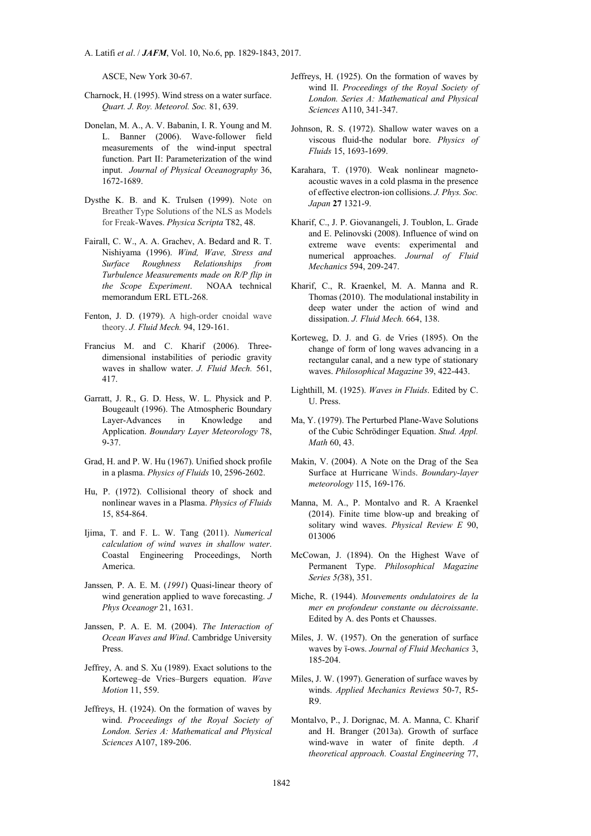A. Latifi *et al*. / *JAFM*, Vol. 10, No.6, pp. 1829-1843, 2017.

ASCE, New York 30-67.

- Charnock, H. (1995). Wind stress on a water surface. *Quart. J. Roy. Meteorol. Soc.* 81, 639.
- Donelan, M. A., A. V. Babanin, I. R. Young and M. L. Banner (2006). Wave-follower field measurements of the wind-input spectral function. Part II: Parameterization of the wind input. *Journal of Physical Oceanography* 36, 1672-1689.
- Dysthe K. B. and K. Trulsen (1999). Note on Breather Type Solutions of the NLS as Models for Freak-Waves. *Physica Scripta* T82, 48.
- Fairall, C. W., A. A. Grachev, A. Bedard and R. T. Nishiyama (1996). *Wind, Wave, Stress and Surface Roughness Relationships from Turbulence Measurements made on R/P flip in the Scope Experiment*. NOAA technical memorandum ERL ETL-268.
- Fenton, J. D. (1979). A high-order cnoidal wave theory. *J. Fluid Mech.* 94, 129-161.
- Francius M. and C. Kharif (2006). Threedimensional instabilities of periodic gravity waves in shallow water. *J. Fluid Mech.* 561, 417.
- Garratt, J. R., G. D. Hess, W. L. Physick and P. Bougeault (1996). The Atmospheric Boundary Layer-Advances in Knowledge and Application. *Boundary Layer Meteorology* 78, 9-37.
- Grad, H. and P. W. Hu (1967). Unified shock profile in a plasma. *Physics of Fluids* 10, 2596-2602.
- Hu, P. (1972). Collisional theory of shock and nonlinear waves in a Plasma. *Physics of Fluids* 15, 854-864.
- Ijima, T. and F. L. W. Tang (2011). *Numerical calculation of wind waves in shallow water*. Coastal Engineering Proceedings, North America.
- Janssen*,* P. A. E. M. (*1991*) Quasi-linear theory of wind generation applied to wave forecasting. *J Phys Oceanogr* 21, 1631.
- Janssen, P. A. E. M. (2004). *The Interaction of Ocean Waves and Wind*. Cambridge University Press.
- Jeffrey, A. and S. Xu (1989). Exact solutions to the Korteweg–de Vries–Burgers equation. *Wave Motion* 11, 559.
- Jeffreys, H. (1924). On the formation of waves by wind. *Proceedings of the Royal Society of London. Series A: Mathematical and Physical Sciences* A107, 189-206.
- Jeffreys, H. (1925). On the formation of waves by wind II. *Proceedings of the Royal Society of London. Series A: Mathematical and Physical Sciences* A110, 341-347.
- Johnson, R. S. (1972). Shallow water waves on a viscous fluid-the nodular bore. *Physics of Fluids* 15, 1693-1699.
- Karahara, T. (1970). Weak nonlinear magnetoacoustic waves in a cold plasma in the presence of effective electron-ion collisions. *J. Phys. Soc. Japan* **27** 1321-9.
- Kharif, C., J. P. Giovanangeli, J. Toublon, L. Grade and E. Pelinovski (2008). Influence of wind on extreme wave events: experimental and numerical approaches. *Journal of Fluid Mechanics* 594, 209-247.
- Kharif, C., R. Kraenkel, M. A. Manna and R. Thomas (2010). The modulational instability in deep water under the action of wind and dissipation. *J. Fluid Mech.* 664, 138.
- Korteweg, D. J. and G. de Vries (1895). On the change of form of long waves advancing in a rectangular canal, and a new type of stationary waves. *Philosophical Magazine* 39, 422-443.
- Lighthill, M. (1925). *Waves in Fluids*. Edited by C. U. Press.
- Ma, Y. (1979). The Perturbed Plane-Wave Solutions of the Cubic Schrödinger Equation. *Stud. Appl. Math* 60, 43.
- Makin, V. (2004). A Note on the Drag of the Sea Surface at Hurricane Winds. *Boundary-layer meteorology* 115, 169-176.
- Manna, M. A., P. Montalvo and R. A Kraenkel (2014). Finite time blow-up and breaking of solitary wind waves. *Physical Review E* 90, 013006
- McCowan, J. (1894). On the Highest Wave of Permanent Type. *Philosophical Magazine Series 5(*38), 351.
- Miche, R. (1944). *Mouvements ondulatoires de la mer en profondeur constante ou décroissante*. Edited by A. des Ponts et Chausses.
- Miles, J. W. (1957). On the generation of surface waves by ï-ows. *Journal of Fluid Mechanics* 3, 185-204.
- Miles, J. W. (1997). Generation of surface waves by winds. *Applied Mechanics Reviews* 50-7, R5- R9.
- Montalvo, P., J. Dorignac, M. A. Manna, C. Kharif and H. Branger (2013a). Growth of surface wind-wave in water of finite depth. *A theoretical approach. Coastal Engineering* 77,